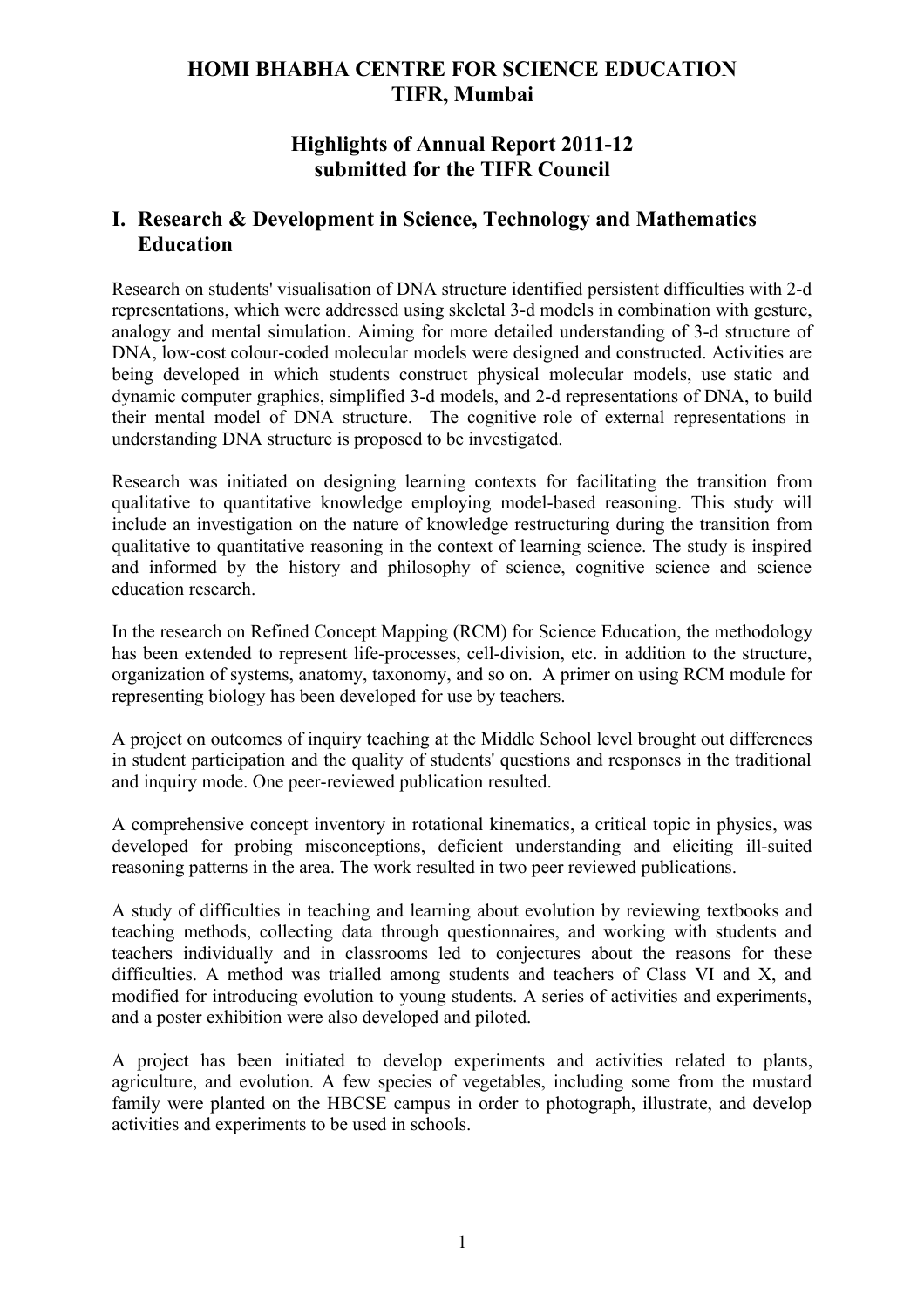# **HOMI BHABHA CENTRE FOR SCIENCE EDUCATION TIFR, Mumbai**

## **Highlights of Annual Report 2011-12 submitted for the TIFR Council**

## **I. Research & Development in Science, Technology and Mathematics Education**

Research on students' visualisation of DNA structure identified persistent difficulties with 2-d representations, which were addressed using skeletal 3-d models in combination with gesture, analogy and mental simulation. Aiming for more detailed understanding of 3-d structure of DNA, low-cost colour-coded molecular models were designed and constructed. Activities are being developed in which students construct physical molecular models, use static and dynamic computer graphics, simplified 3-d models, and 2-d representations of DNA, to build their mental model of DNA structure. The cognitive role of external representations in understanding DNA structure is proposed to be investigated.

Research was initiated on designing learning contexts for facilitating the transition from qualitative to quantitative knowledge employing model-based reasoning. This study will include an investigation on the nature of knowledge restructuring during the transition from qualitative to quantitative reasoning in the context of learning science. The study is inspired and informed by the history and philosophy of science, cognitive science and science education research.

In the research on Refined Concept Mapping (RCM) for Science Education, the methodology has been extended to represent life-processes, cell-division, etc. in addition to the structure, organization of systems, anatomy, taxonomy, and so on. A primer on using RCM module for representing biology has been developed for use by teachers.

A project on outcomes of inquiry teaching at the Middle School level brought out differences in student participation and the quality of students' questions and responses in the traditional and inquiry mode. One peer-reviewed publication resulted.

A comprehensive concept inventory in rotational kinematics, a critical topic in physics, was developed for probing misconceptions, deficient understanding and eliciting ill-suited reasoning patterns in the area. The work resulted in two peer reviewed publications.

A study of difficulties in teaching and learning about evolution by reviewing textbooks and teaching methods, collecting data through questionnaires, and working with students and teachers individually and in classrooms led to conjectures about the reasons for these difficulties. A method was trialled among students and teachers of Class VI and X, and modified for introducing evolution to young students. A series of activities and experiments, and a poster exhibition were also developed and piloted.

A project has been initiated to develop experiments and activities related to plants, agriculture, and evolution. A few species of vegetables, including some from the mustard family were planted on the HBCSE campus in order to photograph, illustrate, and develop activities and experiments to be used in schools.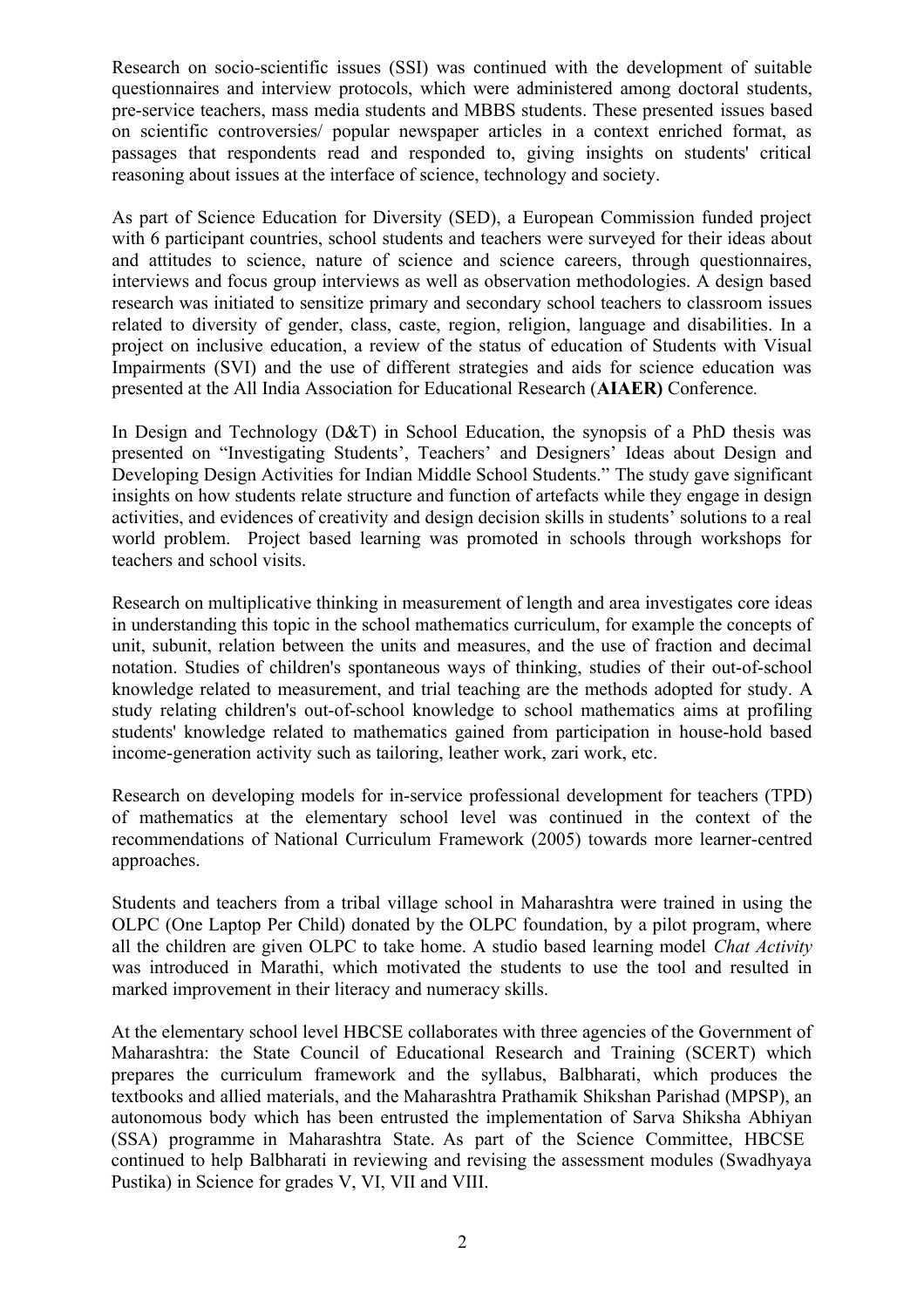Research on socio-scientific issues (SSI) was continued with the development of suitable questionnaires and interview protocols, which were administered among doctoral students, pre-service teachers, mass media students and MBBS students. These presented issues based on scientific controversies/ popular newspaper articles in a context enriched format, as passages that respondents read and responded to, giving insights on students' critical reasoning about issues at the interface of science, technology and society.

As part of Science Education for Diversity (SED), a European Commission funded project with 6 participant countries, school students and teachers were surveyed for their ideas about and attitudes to science, nature of science and science careers, through questionnaires, interviews and focus group interviews as well as observation methodologies. A design based research was initiated to sensitize primary and secondary school teachers to classroom issues related to diversity of gender, class, caste, region, religion, language and disabilities. In a project on inclusive education, a review of the status of education of Students with Visual Impairments (SVI) and the use of different strategies and aids for science education was presented at the All India Association for Educational Research (**AIAER)** Conference*.*

In Design and Technology (D&T) in School Education, the synopsis of a PhD thesis was presented on "Investigating Students', Teachers' and Designers' Ideas about Design and Developing Design Activities for Indian Middle School Students." The study gave significant insights on how students relate structure and function of artefacts while they engage in design activities, and evidences of creativity and design decision skills in students' solutions to a real world problem. Project based learning was promoted in schools through workshops for teachers and school visits.

Research on multiplicative thinking in measurement of length and area investigates core ideas in understanding this topic in the school mathematics curriculum, for example the concepts of unit, subunit, relation between the units and measures, and the use of fraction and decimal notation. Studies of children's spontaneous ways of thinking, studies of their out-of-school knowledge related to measurement, and trial teaching are the methods adopted for study. A study relating children's out-of-school knowledge to school mathematics aims at profiling students' knowledge related to mathematics gained from participation in house-hold based income-generation activity such as tailoring, leather work, zari work, etc.

Research on developing models for in-service professional development for teachers (TPD) of mathematics at the elementary school level was continued in the context of the recommendations of National Curriculum Framework (2005) towards more learner-centred approaches.

Students and teachers from a tribal village school in Maharashtra were trained in using the OLPC (One Laptop Per Child) donated by the OLPC foundation, by a pilot program, where all the children are given OLPC to take home. A studio based learning model *Chat Activity* was introduced in Marathi, which motivated the students to use the tool and resulted in marked improvement in their literacy and numeracy skills.

At the elementary school level HBCSE collaborates with three agencies of the Government of Maharashtra: the State Council of Educational Research and Training (SCERT) which prepares the curriculum framework and the syllabus, Balbharati, which produces the textbooks and allied materials, and the Maharashtra Prathamik Shikshan Parishad (MPSP), an autonomous body which has been entrusted the implementation of Sarva Shiksha Abhiyan (SSA) programme in Maharashtra State. As part of the Science Committee, HBCSE continued to help Balbharati in reviewing and revising the assessment modules (Swadhyaya Pustika) in Science for grades V, VI, VII and VIII.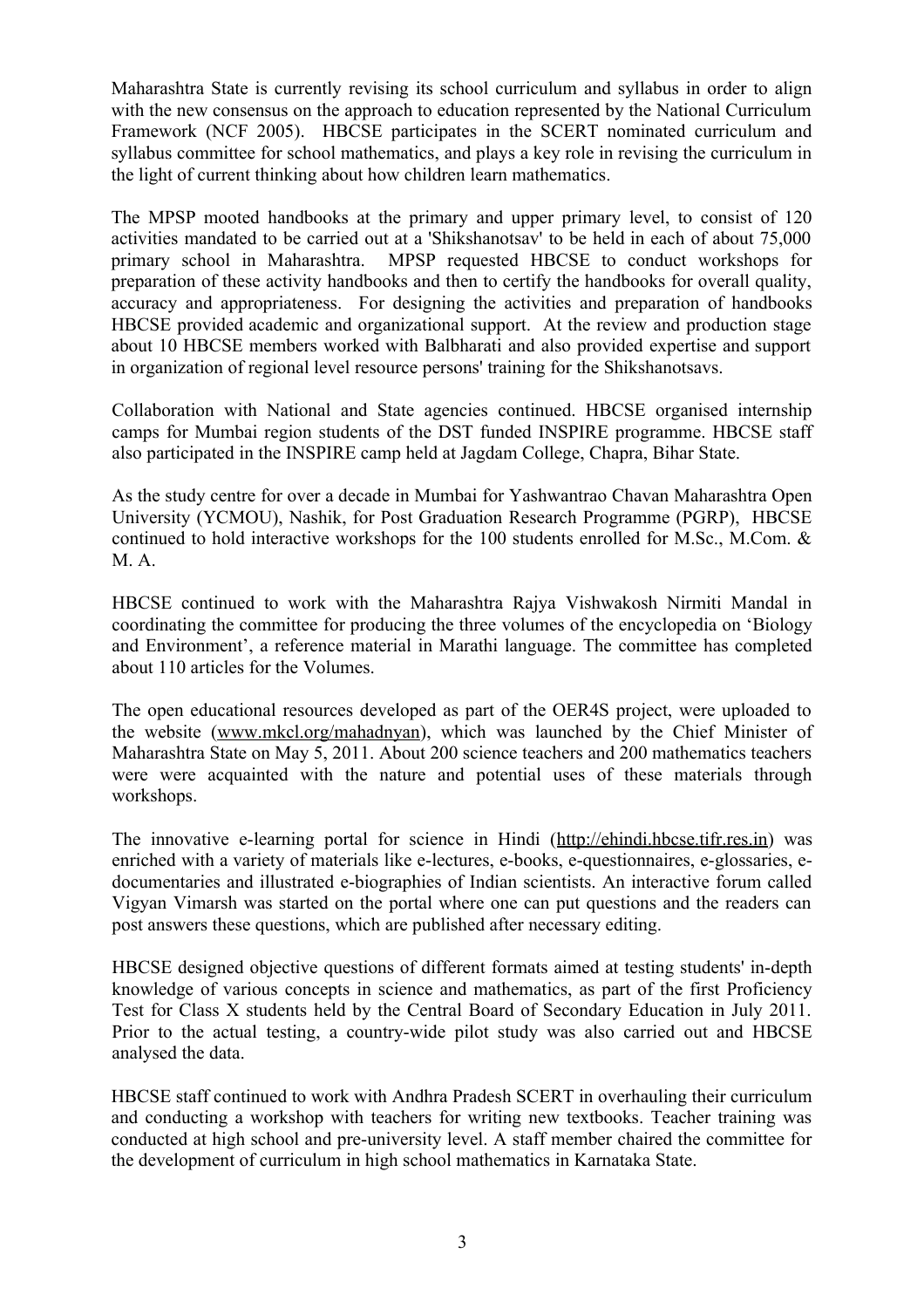Maharashtra State is currently revising its school curriculum and syllabus in order to align with the new consensus on the approach to education represented by the National Curriculum Framework (NCF 2005). HBCSE participates in the SCERT nominated curriculum and syllabus committee for school mathematics, and plays a key role in revising the curriculum in the light of current thinking about how children learn mathematics.

The MPSP mooted handbooks at the primary and upper primary level, to consist of 120 activities mandated to be carried out at a 'Shikshanotsav' to be held in each of about 75,000 primary school in Maharashtra. MPSP requested HBCSE to conduct workshops for preparation of these activity handbooks and then to certify the handbooks for overall quality, accuracy and appropriateness. For designing the activities and preparation of handbooks HBCSE provided academic and organizational support. At the review and production stage about 10 HBCSE members worked with Balbharati and also provided expertise and support in organization of regional level resource persons' training for the Shikshanotsavs.

Collaboration with National and State agencies continued. HBCSE organised internship camps for Mumbai region students of the DST funded INSPIRE programme. HBCSE staff also participated in the INSPIRE camp held at Jagdam College, Chapra, Bihar State.

As the study centre for over a decade in Mumbai for Yashwantrao Chavan Maharashtra Open University (YCMOU), Nashik, for Post Graduation Research Programme (PGRP), HBCSE continued to hold interactive workshops for the 100 students enrolled for M.Sc., M.Com. & M. A.

HBCSE continued to work with the Maharashtra Rajya Vishwakosh Nirmiti Mandal in coordinating the committee for producing the three volumes of the encyclopedia on 'Biology and Environment', a reference material in Marathi language. The committee has completed about 110 articles for the Volumes.

The open educational resources developed as part of the OER4S project, were uploaded to the website [\(www.mkcl.org/mahadnyan\)](http://www.mkcl.org/amahadnyan), which was launched by the Chief Minister of Maharashtra State on May 5, 2011. About 200 science teachers and 200 mathematics teachers were were acquainted with the nature and potential uses of these materials through workshops.

The innovative e-learning portal for science in Hindi [\(http://ehindi.hbcse.tifr.res.in\)](http://ehindi.hbcse.tifr.res.in/) was enriched with a variety of materials like e-lectures, e-books, e-questionnaires, e-glossaries, edocumentaries and illustrated e-biographies of Indian scientists. An interactive forum called Vigyan Vimarsh was started on the portal where one can put questions and the readers can post answers these questions, which are published after necessary editing.

HBCSE designed objective questions of different formats aimed at testing students' in-depth knowledge of various concepts in science and mathematics, as part of the first Proficiency Test for Class X students held by the Central Board of Secondary Education in July 2011. Prior to the actual testing, a country-wide pilot study was also carried out and HBCSE analysed the data.

HBCSE staff continued to work with Andhra Pradesh SCERT in overhauling their curriculum and conducting a workshop with teachers for writing new textbooks. Teacher training was conducted at high school and pre-university level. A staff member chaired the committee for the development of curriculum in high school mathematics in Karnataka State.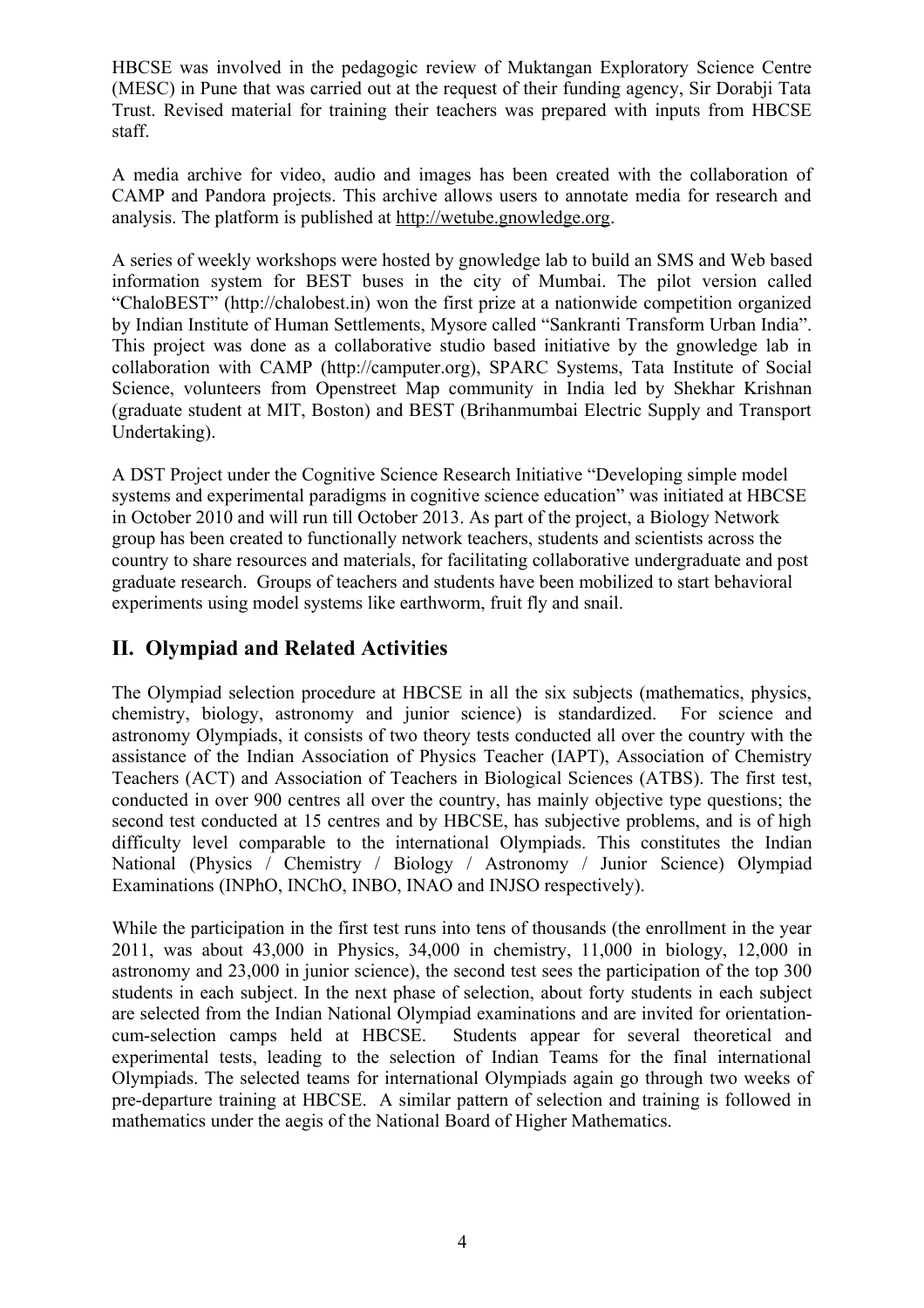HBCSE was involved in the pedagogic review of Muktangan Exploratory Science Centre (MESC) in Pune that was carried out at the request of their funding agency, Sir Dorabji Tata Trust. Revised material for training their teachers was prepared with inputs from HBCSE staff.

A media archive for video, audio and images has been created with the collaboration of CAMP and Pandora projects. This archive allows users to annotate media for research and analysis. The platform is published at [http://wetube.gnowledge.org.](http://wetube.gnowledge.org/)

A series of weekly workshops were hosted by gnowledge lab to build an SMS and Web based information system for BEST buses in the city of Mumbai. The pilot version called "ChaloBEST" (http://chalobest.in) won the first prize at a nationwide competition organized by Indian Institute of Human Settlements, Mysore called "Sankranti Transform Urban India". This project was done as a collaborative studio based initiative by the gnowledge lab in collaboration with CAMP (http://camputer.org), SPARC Systems, Tata Institute of Social Science, volunteers from Openstreet Map community in India led by Shekhar Krishnan (graduate student at MIT, Boston) and BEST (Brihanmumbai Electric Supply and Transport Undertaking).

A DST Project under the Cognitive Science Research Initiative "Developing simple model systems and experimental paradigms in cognitive science education" was initiated at HBCSE in October 2010 and will run till October 2013. As part of the project, a Biology Network group has been created to functionally network teachers, students and scientists across the country to share resources and materials, for facilitating collaborative undergraduate and post graduate research. Groups of teachers and students have been mobilized to start behavioral experiments using model systems like earthworm, fruit fly and snail.

# **II. Olympiad and Related Activities**

The Olympiad selection procedure at HBCSE in all the six subjects (mathematics, physics, chemistry, biology, astronomy and junior science) is standardized. For science and astronomy Olympiads, it consists of two theory tests conducted all over the country with the assistance of the Indian Association of Physics Teacher (IAPT), Association of Chemistry Teachers (ACT) and Association of Teachers in Biological Sciences (ATBS). The first test, conducted in over 900 centres all over the country, has mainly objective type questions; the second test conducted at 15 centres and by HBCSE, has subjective problems, and is of high difficulty level comparable to the international Olympiads. This constitutes the Indian National (Physics / Chemistry / Biology / Astronomy / Junior Science) Olympiad Examinations (INPhO, INChO, INBO, INAO and INJSO respectively).

While the participation in the first test runs into tens of thousands (the enrollment in the year 2011, was about 43,000 in Physics, 34,000 in chemistry, 11,000 in biology, 12,000 in astronomy and 23,000 in junior science), the second test sees the participation of the top 300 students in each subject. In the next phase of selection, about forty students in each subject are selected from the Indian National Olympiad examinations and are invited for orientationcum-selection camps held at HBCSE. Students appear for several theoretical and experimental tests, leading to the selection of Indian Teams for the final international Olympiads. The selected teams for international Olympiads again go through two weeks of pre-departure training at HBCSE. A similar pattern of selection and training is followed in mathematics under the aegis of the National Board of Higher Mathematics.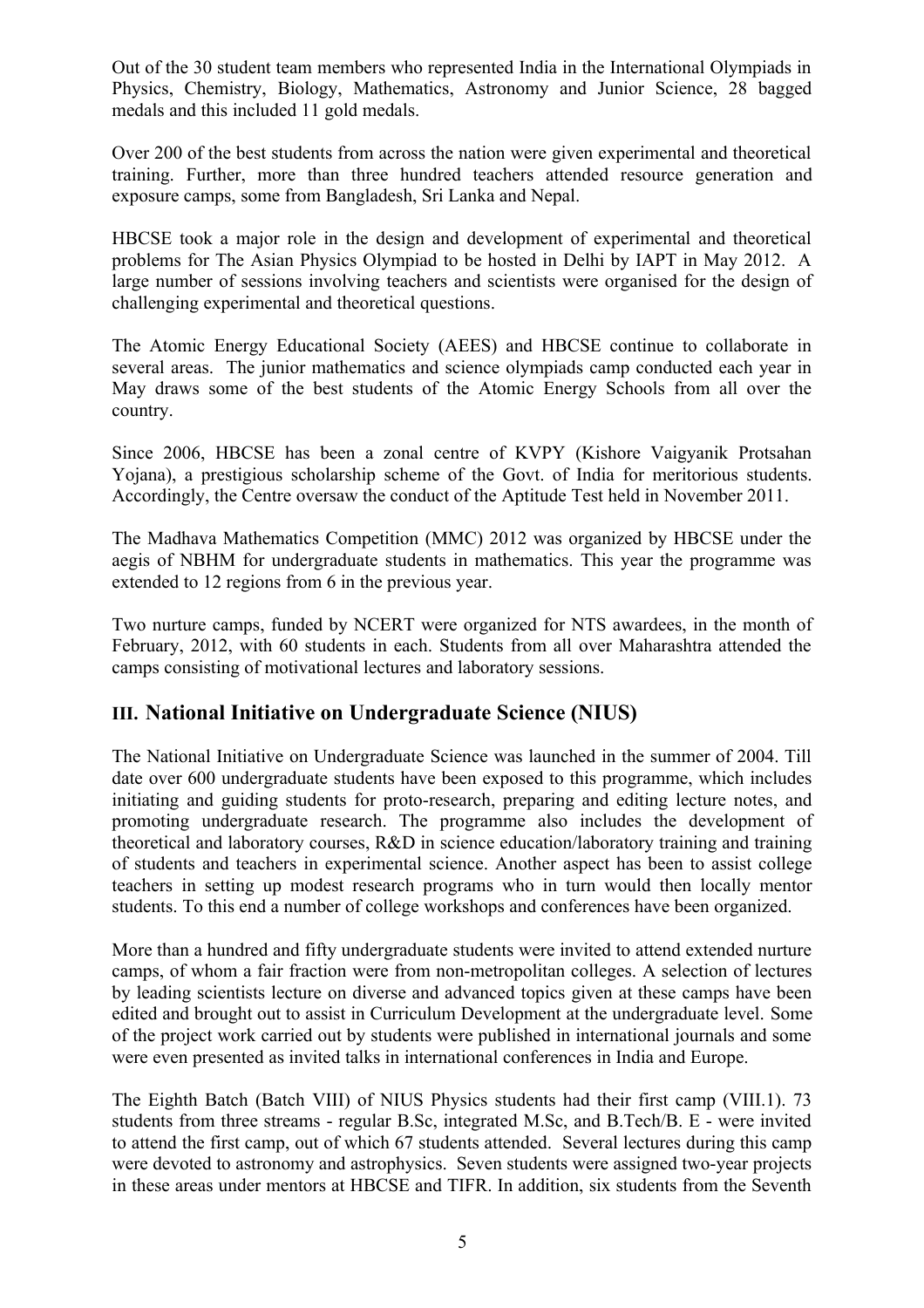Out of the 30 student team members who represented India in the International Olympiads in Physics, Chemistry, Biology, Mathematics, Astronomy and Junior Science, 28 bagged medals and this included 11 gold medals.

Over 200 of the best students from across the nation were given experimental and theoretical training. Further, more than three hundred teachers attended resource generation and exposure camps, some from Bangladesh, Sri Lanka and Nepal.

HBCSE took a major role in the design and development of experimental and theoretical problems for The Asian Physics Olympiad to be hosted in Delhi by IAPT in May 2012. A large number of sessions involving teachers and scientists were organised for the design of challenging experimental and theoretical questions.

The Atomic Energy Educational Society (AEES) and HBCSE continue to collaborate in several areas. The junior mathematics and science olympiads camp conducted each year in May draws some of the best students of the Atomic Energy Schools from all over the country.

Since 2006, HBCSE has been a zonal centre of KVPY (Kishore Vaigyanik Protsahan Yojana), a prestigious scholarship scheme of the Govt. of India for meritorious students. Accordingly, the Centre oversaw the conduct of the Aptitude Test held in November 2011.

The Madhava Mathematics Competition (MMC) 2012 was organized by HBCSE under the aegis of NBHM for undergraduate students in mathematics. This year the programme was extended to 12 regions from 6 in the previous year.

Two nurture camps, funded by NCERT were organized for NTS awardees, in the month of February, 2012, with 60 students in each. Students from all over Maharashtra attended the camps consisting of motivational lectures and laboratory sessions.

### **III. National Initiative on Undergraduate Science (NIUS)**

The National Initiative on Undergraduate Science was launched in the summer of 2004. Till date over 600 undergraduate students have been exposed to this programme, which includes initiating and guiding students for proto-research, preparing and editing lecture notes, and promoting undergraduate research. The programme also includes the development of theoretical and laboratory courses, R&D in science education/laboratory training and training of students and teachers in experimental science. Another aspect has been to assist college teachers in setting up modest research programs who in turn would then locally mentor students. To this end a number of college workshops and conferences have been organized.

More than a hundred and fifty undergraduate students were invited to attend extended nurture camps, of whom a fair fraction were from non-metropolitan colleges. A selection of lectures by leading scientists lecture on diverse and advanced topics given at these camps have been edited and brought out to assist in Curriculum Development at the undergraduate level. Some of the project work carried out by students were published in international journals and some were even presented as invited talks in international conferences in India and Europe.

The Eighth Batch (Batch VIII) of NIUS Physics students had their first camp (VIII.1). 73 students from three streams - regular B.Sc, integrated M.Sc, and B.Tech/B. E - were invited to attend the first camp, out of which 67 students attended. Several lectures during this camp were devoted to astronomy and astrophysics. Seven students were assigned two-year projects in these areas under mentors at HBCSE and TIFR. In addition, six students from the Seventh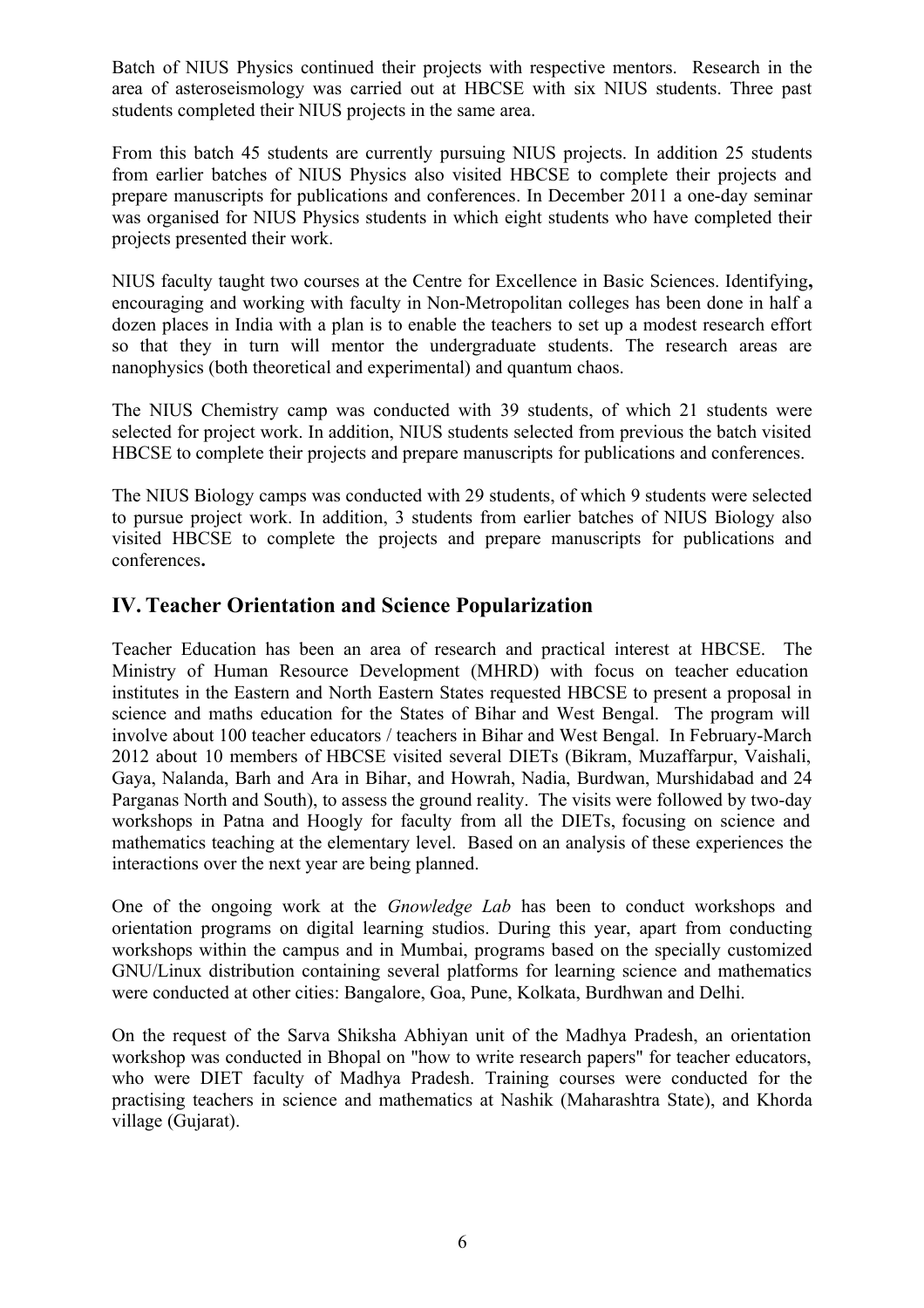Batch of NIUS Physics continued their projects with respective mentors. Research in the area of asteroseismology was carried out at HBCSE with six NIUS students. Three past students completed their NIUS projects in the same area.

From this batch 45 students are currently pursuing NIUS projects. In addition 25 students from earlier batches of NIUS Physics also visited HBCSE to complete their projects and prepare manuscripts for publications and conferences. In December 2011 a one-day seminar was organised for NIUS Physics students in which eight students who have completed their projects presented their work.

NIUS faculty taught two courses at the Centre for Excellence in Basic Sciences. Identifying**,** encouraging and working with faculty in Non-Metropolitan colleges has been done in half a dozen places in India with a plan is to enable the teachers to set up a modest research effort so that they in turn will mentor the undergraduate students. The research areas are nanophysics (both theoretical and experimental) and quantum chaos.

The NIUS Chemistry camp was conducted with 39 students, of which 21 students were selected for project work. In addition, NIUS students selected from previous the batch visited HBCSE to complete their projects and prepare manuscripts for publications and conferences.

The NIUS Biology camps was conducted with 29 students, of which 9 students were selected to pursue project work. In addition, 3 students from earlier batches of NIUS Biology also visited HBCSE to complete the projects and prepare manuscripts for publications and conferences**.**

## **IV. Teacher Orientation and Science Popularization**

Teacher Education has been an area of research and practical interest at HBCSE. The Ministry of Human Resource Development (MHRD) with focus on teacher education institutes in the Eastern and North Eastern States requested HBCSE to present a proposal in science and maths education for the States of Bihar and West Bengal. The program will involve about 100 teacher educators / teachers in Bihar and West Bengal. In February-March 2012 about 10 members of HBCSE visited several DIETs (Bikram, Muzaffarpur, Vaishali, Gaya, Nalanda, Barh and Ara in Bihar, and Howrah, Nadia, Burdwan, Murshidabad and 24 Parganas North and South), to assess the ground reality. The visits were followed by two-day workshops in Patna and Hoogly for faculty from all the DIETs, focusing on science and mathematics teaching at the elementary level. Based on an analysis of these experiences the interactions over the next year are being planned.

One of the ongoing work at the *Gnowledge Lab* has been to conduct workshops and orientation programs on digital learning studios. During this year, apart from conducting workshops within the campus and in Mumbai, programs based on the specially customized GNU/Linux distribution containing several platforms for learning science and mathematics were conducted at other cities: Bangalore, Goa, Pune, Kolkata, Burdhwan and Delhi.

On the request of the Sarva Shiksha Abhiyan unit of the Madhya Pradesh, an orientation workshop was conducted in Bhopal on "how to write research papers" for teacher educators, who were DIET faculty of Madhya Pradesh. Training courses were conducted for the practising teachers in science and mathematics at Nashik (Maharashtra State), and Khorda village (Gujarat).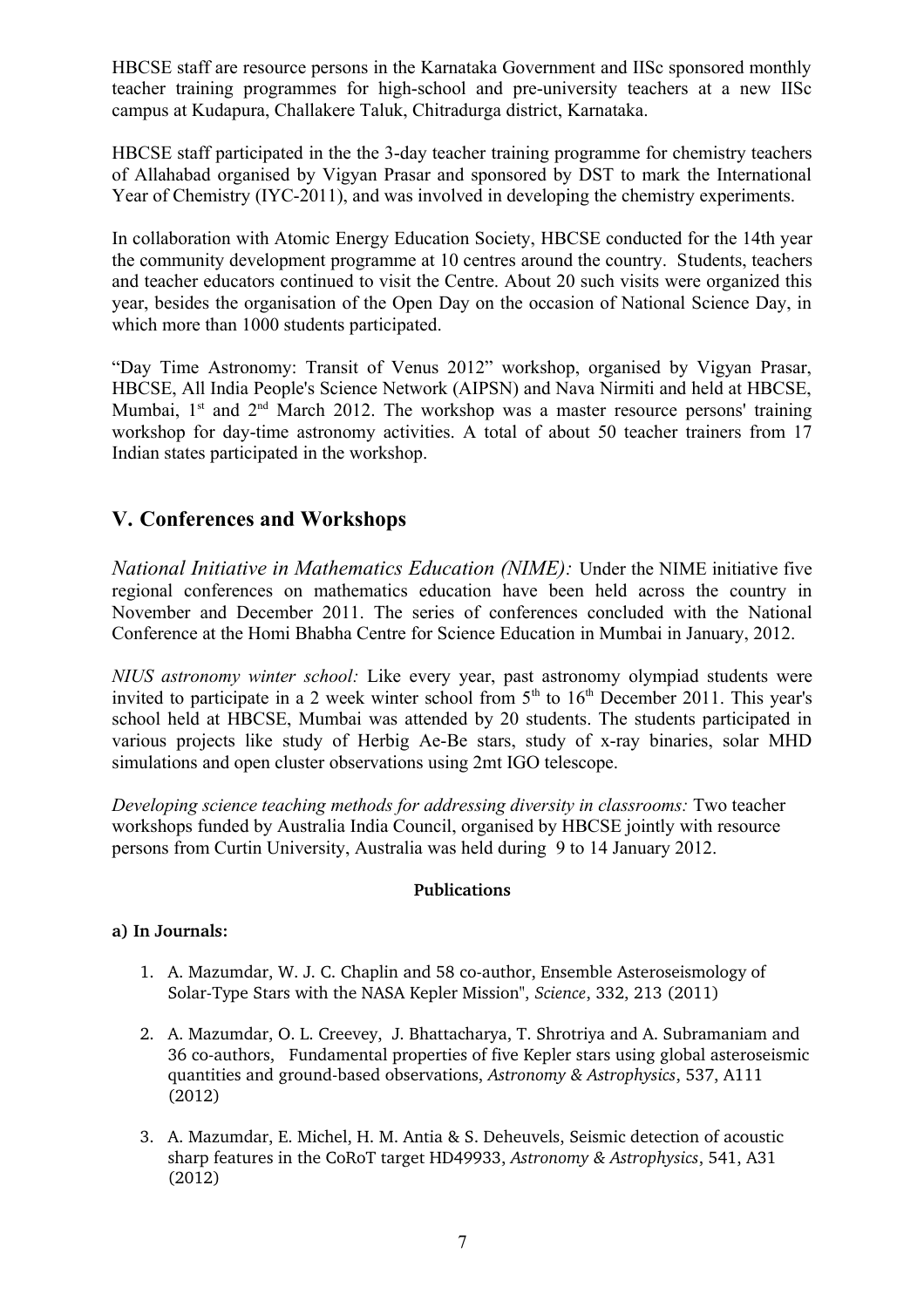HBCSE staff are resource persons in the Karnataka Government and IISc sponsored monthly teacher training programmes for high-school and pre-university teachers at a new IISc campus at Kudapura, Challakere Taluk, Chitradurga district, Karnataka.

HBCSE staff participated in the the 3-day teacher training programme for chemistry teachers of Allahabad organised by Vigyan Prasar and sponsored by DST to mark the International Year of Chemistry (IYC-2011), and was involved in developing the chemistry experiments.

In collaboration with Atomic Energy Education Society, HBCSE conducted for the 14th year the community development programme at 10 centres around the country. Students, teachers and teacher educators continued to visit the Centre. About 20 such visits were organized this year, besides the organisation of the Open Day on the occasion of National Science Day, in which more than 1000 students participated.

"Day Time Astronomy: Transit of Venus 2012" workshop, organised by Vigyan Prasar, HBCSE, All India People's Science Network (AIPSN) and Nava Nirmiti and held at HBCSE, Mumbai,  $1<sup>st</sup>$  and  $2<sup>nd</sup>$  March 2012. The workshop was a master resource persons' training workshop for day-time astronomy activities. A total of about 50 teacher trainers from 17 Indian states participated in the workshop.

# **V. Conferences and Workshops**

*National Initiative in Mathematics Education (NIME):* Under the NIME initiative five regional conferences on mathematics education have been held across the country in November and December 2011. The series of conferences concluded with the National Conference at the Homi Bhabha Centre for Science Education in Mumbai in January, 2012.

*NIUS astronomy winter school:* Like every year, past astronomy olympiad students were invited to participate in a 2 week winter school from  $5<sup>th</sup>$  to  $16<sup>th</sup>$  December 2011. This year's school held at HBCSE, Mumbai was attended by 20 students. The students participated in various projects like study of Herbig Ae-Be stars, study of x-ray binaries, solar MHD simulations and open cluster observations using 2mt IGO telescope.

*Developing science teaching methods for addressing diversity in classrooms:* Two teacher workshops funded by Australia India Council, organised by HBCSE jointly with resource persons from Curtin University, Australia was held during 9 to 14 January 2012.

#### **Publications**

### **a) In Journals:**

- 1. A. Mazumdar, W. J. C. Chaplin and 58 co-author, Ensemble Asteroseismology of SolarType Stars with the NASA Kepler Mission", *Science*, 332, 213 (2011)
- 2. A. Mazumdar, O. L. Creevey, J. Bhattacharya, T. Shrotriya and A. Subramaniam and 36 co-authors. Fundamental properties of five Kepler stars using global asteroseismic quantities and ground-based observations, *Astronomy & Astrophysics*, 537, A111 (2012)
- 3. A. Mazumdar, E. Michel, H. M. Antia & S. Deheuvels, Seismic detection of acoustic sharp features in the CoRoT target HD49933, *Astronomy & Astrophysics*, 541, A31 (2012)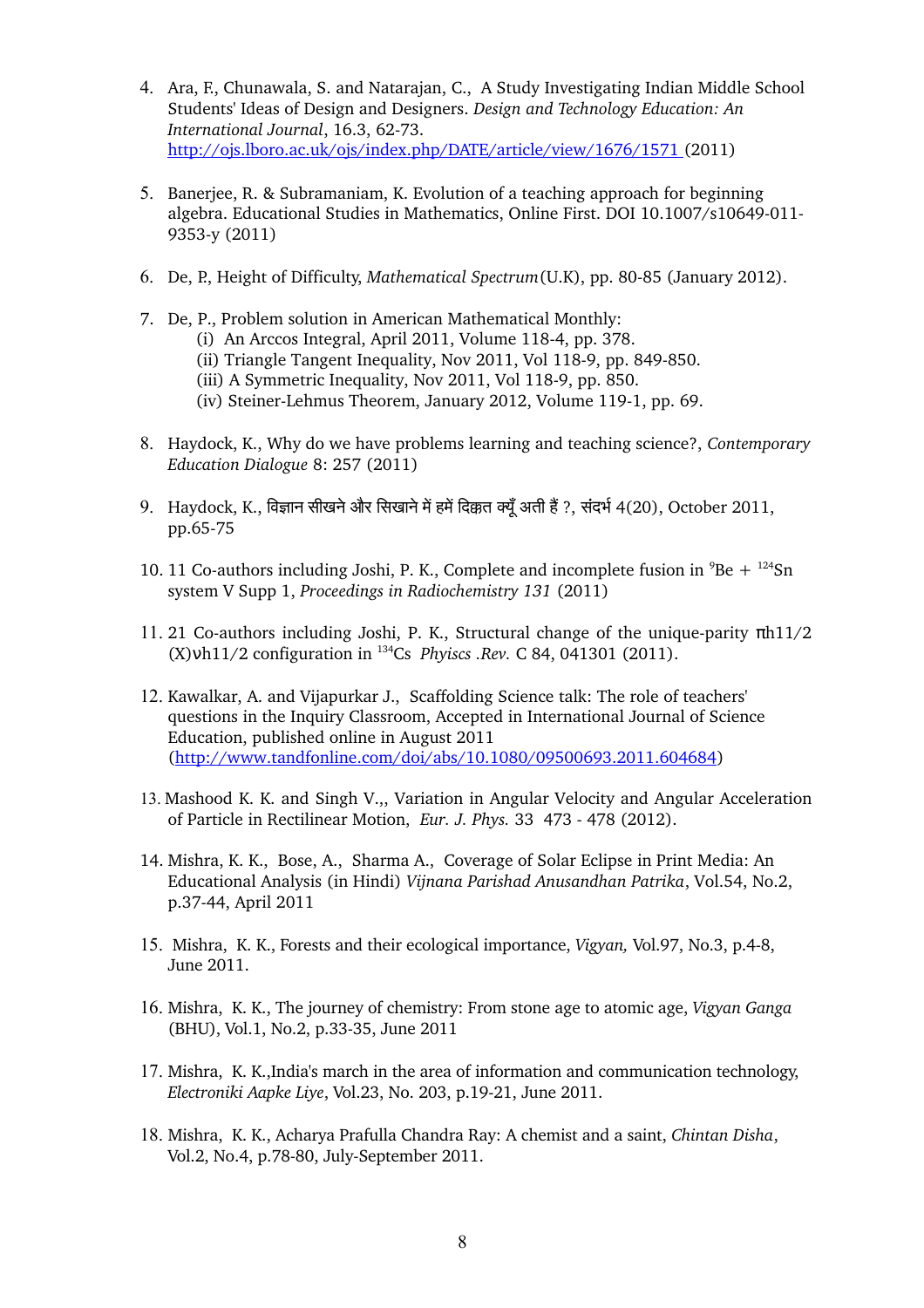- 4. Ara, F., Chunawala, S. and Natarajan, C., A Study Investigating Indian Middle School Students' Ideas of Design and Designers. *Design and Technology Education: An International Journal, 16.3, 62-73.* <http://ojs.lboro.ac.uk/ojs/index.php/DATE/article/view/1676/1571>(2011)
- 5. Banerjee, R. & Subramaniam, K. Evolution of a teaching approach for beginning algebra. Educational Studies in Mathematics, Online First. DOI 10.1007/s10649-011-9353-y (2011)
- 6. De, P., Height of Difficulty, *Mathematical Spectrum*(U.K), pp. 80-85 (January 2012).
- 7. De, P., Problem solution in American Mathematical Monthly: (i) An Arccos Integral, April 2011, Volume 118-4, pp. 378. (ii) Triangle Tangent Inequality, Nov 2011, Vol 118-9, pp. 849-850. (iii) A Symmetric Inequality, Nov 2011, Vol 118-9, pp. 850. (iv) Steiner-Lehmus Theorem, January 2012, Volume 119-1, pp. 69.
- 8. Haydock, K., Why do we have problems learning and teaching science?, *Contemporary Education Dialogue* 8: 257 (2011)
- 9. Haydock, K., विज्ञान सीखने और सिखाने में हमें दिक्कत क्यूँ अती हैं ?, संदर्भ 4(20), October 2011, pp.65-75
- 10. 11 Co-authors including Joshi, P. K., Complete and incomplete fusion in  ${}^{9}Be + {}^{124}Sn$ system V Supp 1, *Proceedings in Radiochemistry 131* (2011)
- 11. 21 Co-authors including Joshi, P. K., Structural change of the unique-parity  $πh11/2$  $(X)$  wh11/2 configuration in <sup>134</sup>Cs *Phyiscs .Rev.* C 84, 041301 (2011).
- 12. Kawalkar, A. and Vijapurkar J., Scaffolding Science talk: The role of teachers' questions in the Inquiry Classroom, Accepted in International Journal of Science Education, published online in August 2011 [\(http://www.tandfonline.com/doi/abs/10.1080/09500693.2011.604684\)](http://www.tandfonline.com/doi/abs/10.1080/09500693.2011.604684)
- 13. Mashood K. K. and Singh V.,, Variation in Angular Velocity and Angular Acceleration of Particle in Rectilinear Motion, *Eur. J. Phys.* 33 473 478 (2012).
- 14. Mishra, K. K., Bose, A., Sharma A., Coverage of Solar Eclipse in Print Media: An Educational Analysis (in Hindi) *Vijnana Parishad Anusandhan Patrika*, Vol.54, No.2, p.3744, April 2011
- 15. Mishra, K. K., Forests and their ecological importance, *Vigyan,* Vol.97, No.3, p.48, June 2011.
- 16. Mishra, K. K., The journey of chemistry: From stone age to atomic age, *Vigyan Ganga* (BHU), Vol.1, No.2, p.33-35, June 2011
- 17. Mishra, K. K.,India's march in the area of information and communication technology, *Electroniki Aapke Liye*, Vol.23, No. 203, p.1921, June 2011.
- 18. Mishra, K. K., Acharya Prafulla Chandra Ray: A chemist and a saint, *Chintan Disha*, Vol.2, No.4, p.78-80, July-September 2011.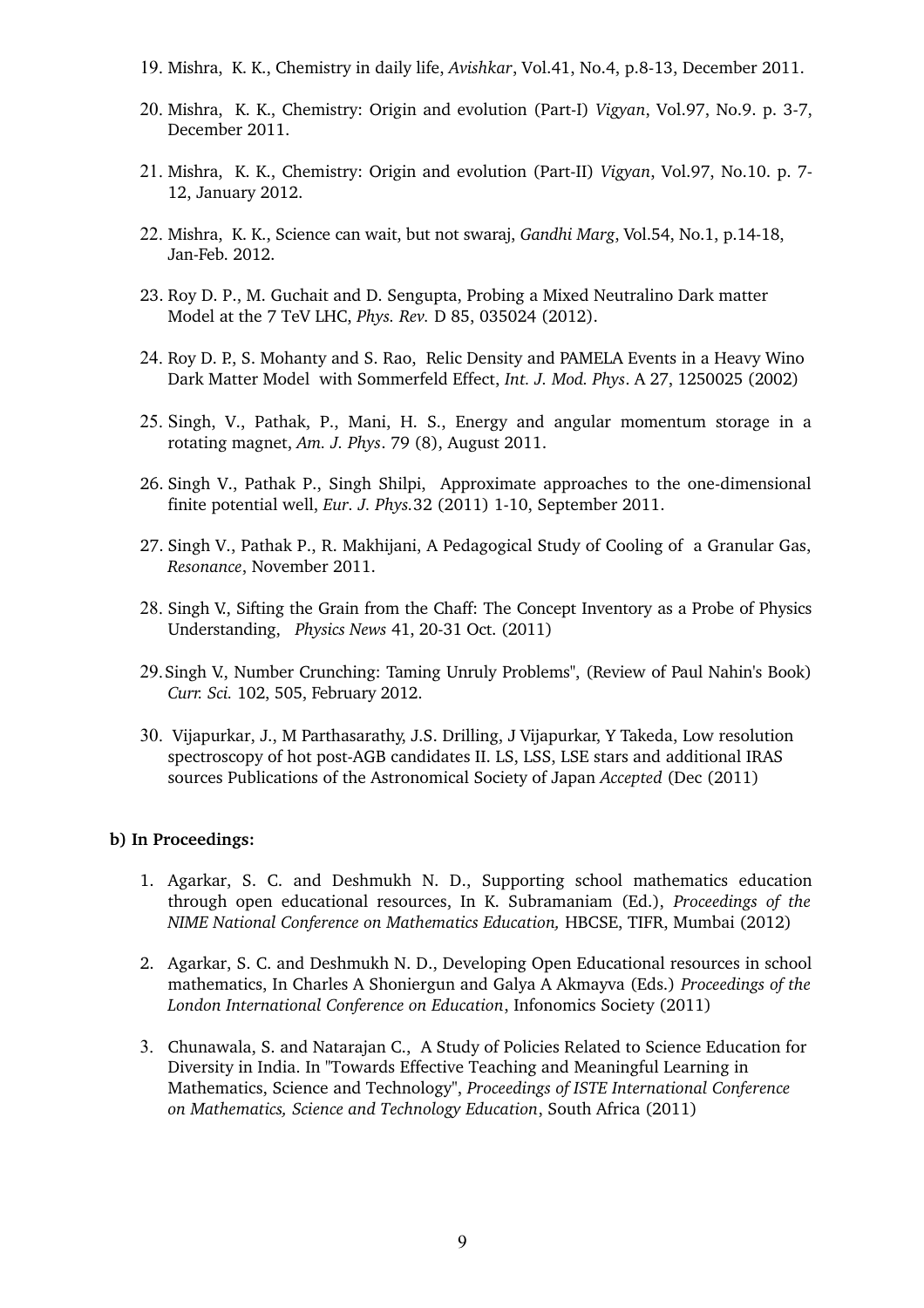- 19. Mishra, K. K., Chemistry in daily life, *Avishkar*, Vol.41, No.4, p.813, December 2011.
- 20. Mishra, K. K., Chemistry: Origin and evolution (Part-I) *Vigyan*, Vol.97, No.9. p. 3-7, December 2011.
- 21. Mishra, K. K., Chemistry: Origin and evolution (Part-II) *Vigyan*, Vol.97, No.10. p. 7-12, January 2012.
- 22. Mishra, K. K., Science can wait, but not swaraj, *Gandhi Marg*, Vol.54, No.1, p.1418, Jan-Feb. 2012.
- 23. Roy D. P., M. Guchait and D. Sengupta, Probing a Mixed Neutralino Dark matter Model at the 7 TeV LHC, *Phys. Rev.* D 85, 035024 (2012).
- 24. Roy D. P., S. Mohanty and S. Rao, Relic Density and PAMELA Events in a Heavy Wino Dark Matter Model with Sommerfeld Effect, *Int. J. Mod. Phys*. A 27, 1250025 (2002)
- 25. Singh, V., Pathak, P., Mani, H. S., Energy and angular momentum storage in a rotating magnet, *Am. J. Phys*. 79 (8), August 2011.
- 26. Singh V., Pathak P., Singh Shilpi, Approximate approaches to the one-dimensional finite potential well, *Eur. J. Phys.*32 (2011) 1-10, September 2011.
- 27. Singh V., Pathak P., R. Makhijani, A Pedagogical Study of Cooling of a Granular Gas, *Resonance*, November 2011.
- 28. Singh V., Sifting the Grain from the Chaff: The Concept Inventory as a Probe of Physics Understanding, *Physics News* 41, 20-31 Oct. (2011)
- 29.Singh V., Number Crunching: Taming Unruly Problems", (Review of Paul Nahin's Book) *Curr. Sci.* 102, 505, February 2012.
- 30. Vijapurkar, J., M Parthasarathy, J.S. Drilling, J Vijapurkar, Y Takeda, Low resolution spectroscopy of hot post-AGB candidates II. LS, LSS, LSE stars and additional IRAS sources Publications of the Astronomical Society of Japan *Accepted* (Dec (2011)

#### **b) In Proceedings:**

- 1. Agarkar, S. C. and Deshmukh N. D., Supporting school mathematics education through open educational resources, In K. Subramaniam (Ed.), *Proceedings of the NIME National Conference on Mathematics Education,* HBCSE, TIFR, Mumbai (2012)
- 2. Agarkar, S. C. and Deshmukh N. D., Developing Open Educational resources in school mathematics, In Charles A Shoniergun and Galya A Akmayva (Eds.) *Proceedings of the London International Conference on Education*, Infonomics Society (2011)
- 3. Chunawala, S. and Natarajan C., A Study of Policies Related to Science Education for Diversity in India. In "Towards Effective Teaching and Meaningful Learning in Mathematics, Science and Technology", *Proceedings of ISTE International Conference on Mathematics, Science and Technology Education*, South Africa (2011)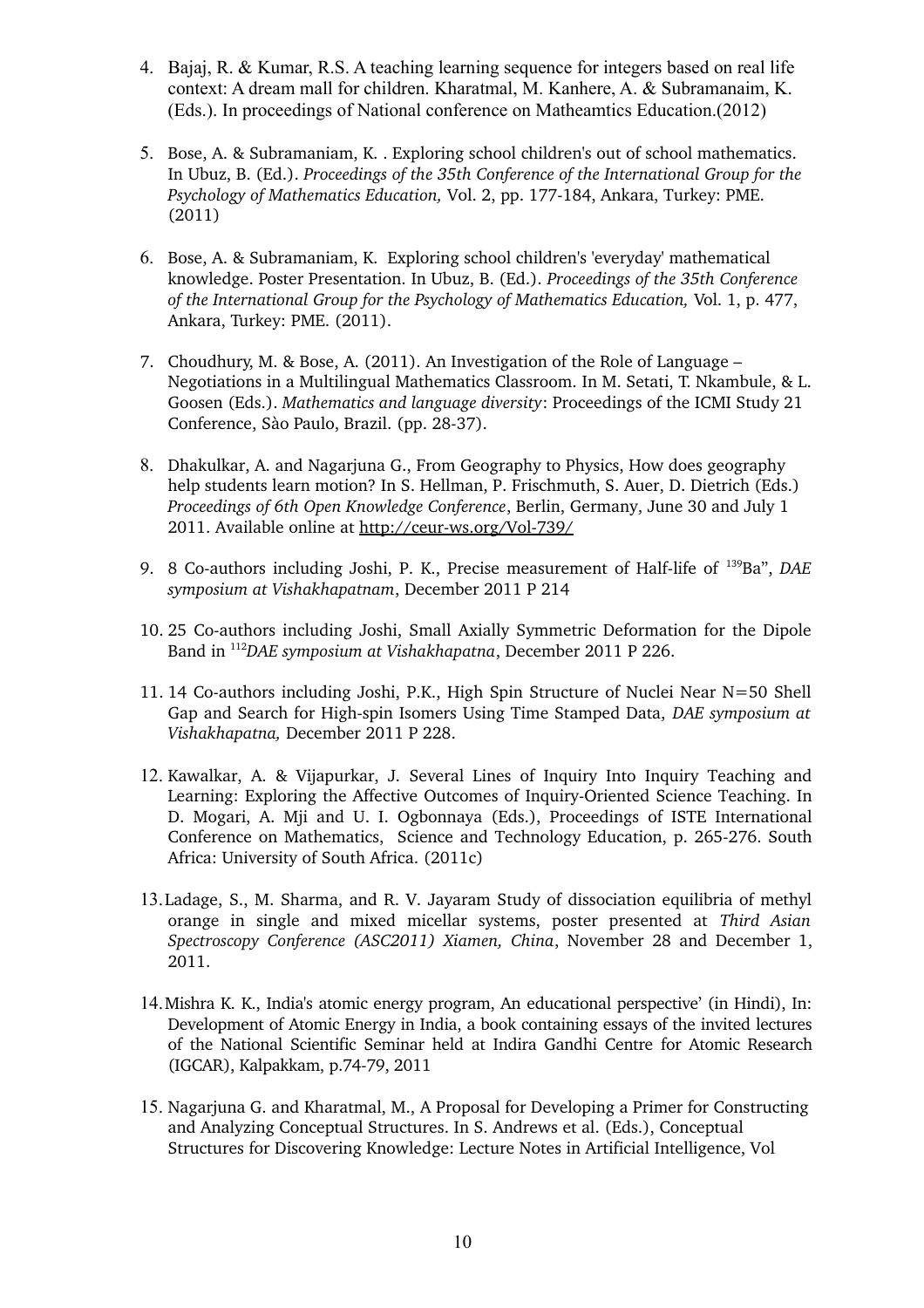- 4. Bajaj, R. & Kumar, R.S. A teaching learning sequence for integers based on real life context: A dream mall for children. Kharatmal, M. Kanhere, A. & Subramanaim, K. (Eds.). In proceedings of National conference on Matheamtics Education.(2012)
- 5. Bose, A. & Subramaniam, K. . Exploring school children's out of school mathematics. In Ubuz, B. (Ed.). *Proceedings of the 35th Conference of the International Group for the Psychology of Mathematics Education, Vol. 2, pp. 177-184, Ankara, Turkey: PME.* (2011)
- 6. Bose, A. & Subramaniam, K. Exploring school children's 'everyday' mathematical knowledge. Poster Presentation. In Ubuz, B. (Ed.). *Proceedings of the 35th Conference of the International Group for the Psychology of Mathematics Education,* Vol. 1, p. 477, Ankara, Turkey: PME. (2011).
- 7. Choudhury, M. & Bose, A. (2011). An Investigation of the Role of Language Negotiations in a Multilingual Mathematics Classroom. In M. Setati, T. Nkambule, & L. Goosen (Eds.). *Mathematics and language diversity*: Proceedings of the ICMI Study 21 Conference, Sào Paulo, Brazil. (pp. 28-37).
- 8. Dhakulkar, A. and Nagarjuna G., From Geography to Physics, How does geography help students learn motion? In S. Hellman, P. Frischmuth, S. Auer, D. Dietrich (Eds.) *Proceedings of 6th Open Knowledge Conference*, Berlin, Germany, June 30 and July 1 2011. Available online at http://ceur-ws.org/Vol-739/
- 9. 8 Co-authors including Joshi, P. K., Precise measurement of Half-life of <sup>139</sup>Ba", *DAE symposium at Vishakhapatnam*, December 2011 P 214
- 10. 25 Co-authors including Joshi, Small Axially Symmetric Deformation for the Dipole Band in <sup>112</sup>*DAE symposium at Vishakhapatna*, December 2011 P 226.
- 11. 14 Co-authors including Joshi, P.K., High Spin Structure of Nuclei Near  $N=50$  Shell Gap and Search for High-spin Isomers Using Time Stamped Data, *DAE symposium at Vishakhapatna,* December 2011 P 228.
- 12. Kawalkar, A. & Vijapurkar, J. Several Lines of Inquiry Into Inquiry Teaching and Learning: Exploring the Affective Outcomes of Inquiry-Oriented Science Teaching. In D. Mogari, A. Mji and U. I. Ogbonnaya (Eds.), Proceedings of ISTE International Conference on Mathematics, Science and Technology Education, p. 265-276. South Africa: University of South Africa. (2011c)
- 13.Ladage, S., M. Sharma, and R. V. Jayaram Study of dissociation equilibria of methyl orange in single and mixed micellar systems, poster presented at *Third Asian Spectroscopy Conference (ASC2011) Xiamen, China*, November 28 and December 1, 2011.
- 14.Mishra K. K., India's atomic energy program, An educational perspective' (in Hindi), In: Development of Atomic Energy in India, a book containing essays of the invited lectures of the National Scientific Seminar held at Indira Gandhi Centre for Atomic Research (IGCAR), Kalpakkam, p.7479, 2011
- 15. Nagarjuna G. and Kharatmal, M., A Proposal for Developing a Primer for Constructing and Analyzing Conceptual Structures. In S. Andrews et al. (Eds.), Conceptual Structures for Discovering Knowledge: Lecture Notes in Artificial Intelligence, Vol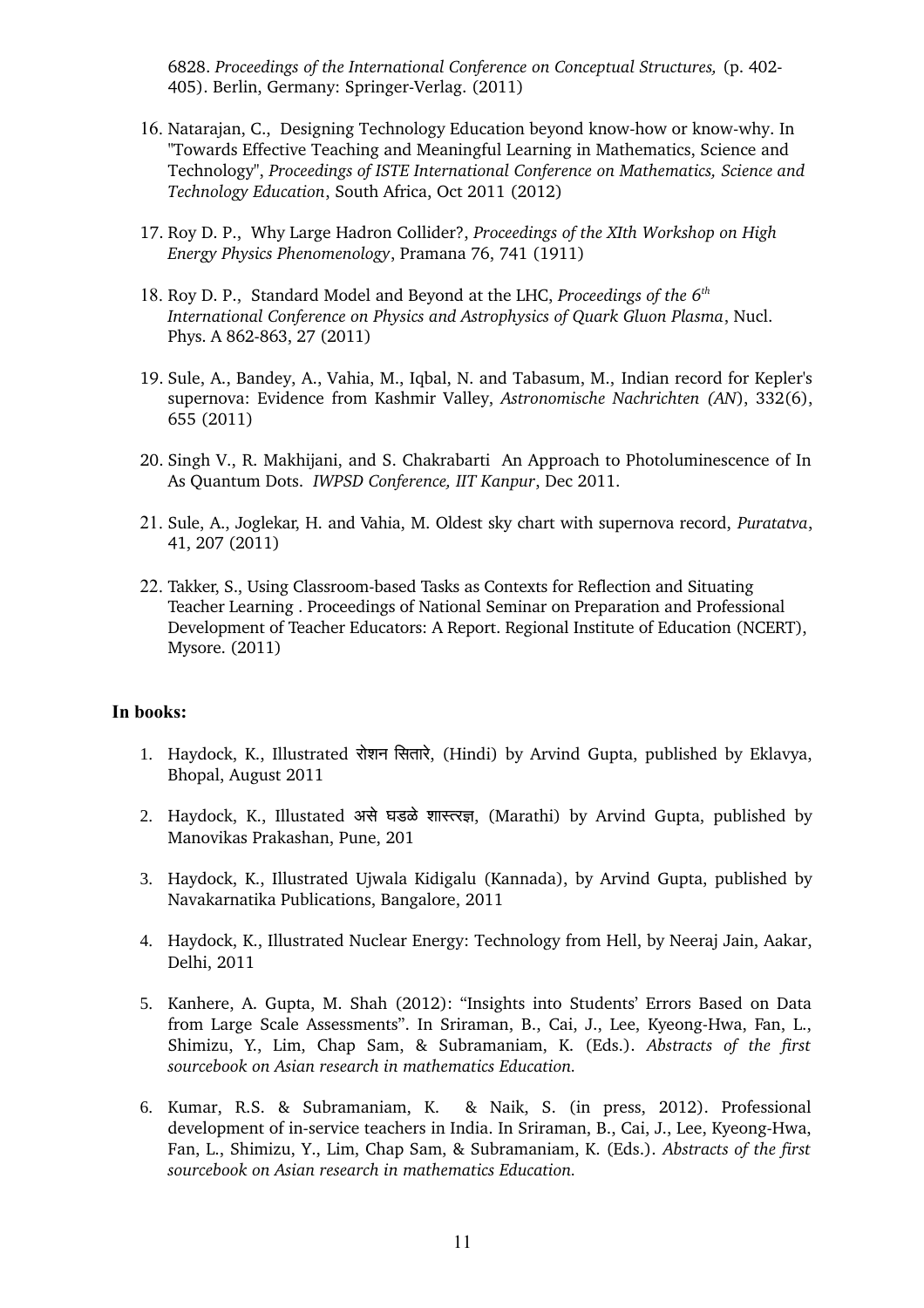6828. *Proceedings of the International Conference on Conceptual Structures,* (p. 402 405). Berlin, Germany: Springer-Verlag. (2011)

- 16. Natarajan, C., Designing Technology Education beyond know-how or know-why. In "Towards Effective Teaching and Meaningful Learning in Mathematics, Science and Technology", *Proceedings of ISTE International Conference on Mathematics, Science and Technology Education*, South Africa, Oct 2011 (2012)
- 17. Roy D. P., Why Large Hadron Collider?, *Proceedings of the XIth Workshop on High Energy Physics Phenomenology*, Pramana 76, 741 (1911)
- 18. Roy D. P., Standard Model and Beyond at the LHC, *Proceedings of the 6th International Conference on Physics and Astrophysics of Quark Gluon Plasma*, Nucl. Phys. A 862-863, 27 (2011)
- 19. Sule, A., Bandey, A., Vahia, M., Iqbal, N. and Tabasum, M., Indian record for Kepler's supernova: Evidence from Kashmir Valley, *Astronomische Nachrichten (AN*), 332(6), 655 (2011)
- 20. Singh V., R. Makhijani, and S. Chakrabarti An Approach to Photoluminescence of In As Quantum Dots. *IWPSD Conference, IIT Kanpur*, Dec 2011.
- 21. Sule, A., Joglekar, H. and Vahia, M. Oldest sky chart with supernova record, *Puratatva*, 41, 207 (2011)
- 22. Takker, S., Using Classroom-based Tasks as Contexts for Reflection and Situating Teacher Learning . Proceedings of National Seminar on Preparation and Professional Development of Teacher Educators: A Report. Regional Institute of Education (NCERT), Mysore. (2011)

#### **In books:**

- 1. Haydock, K., Illustrated रोशन िसतारे, (Hindi) by Arvind Gupta, published by Eklavya, Bhopal, August 2011
- 2. Haydock, K., Illustated असे घडळे शास्तरज्ञ, (Marathi) by Arvind Gupta, published by Manovikas Prakashan, Pune, 201
- 3. Haydock, K., Illustrated Ujwala Kidigalu (Kannada), by Arvind Gupta, published by Navakarnatika Publications, Bangalore, 2011
- 4. Haydock, K., Illustrated Nuclear Energy: Technology from Hell, by Neeraj Jain, Aakar, Delhi, 2011
- 5. Kanhere, A. Gupta, M. Shah (2012): "Insights into Students' Errors Based on Data from Large Scale Assessments". In Sriraman, B., Cai, J., Lee, Kyeong-Hwa, Fan, L., Shimizu, Y., Lim, Chap Sam, & Subramaniam, K. (Eds.). *Abstracts of the first sourcebook on Asian research in mathematics Education.*
- 6. Kumar, R.S. & Subramaniam, K. & Naik, S. (in press, 2012). Professional development of in-service teachers in India. In Sriraman, B., Cai, J., Lee, Kyeong-Hwa, Fan, L., Shimizu, Y., Lim, Chap Sam, & Subramaniam, K. (Eds.). *Abstracts of the first sourcebook on Asian research in mathematics Education.*